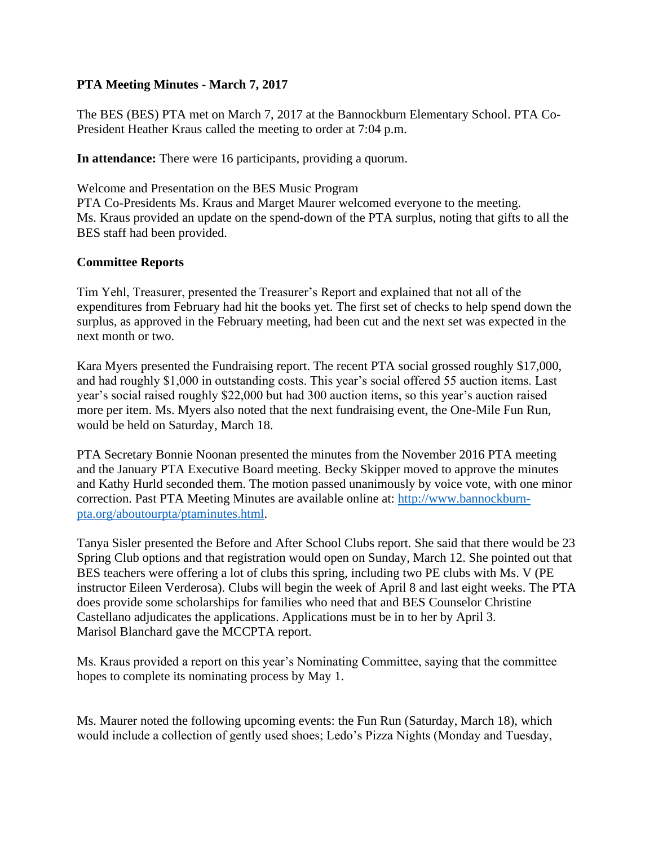## **PTA Meeting Minutes - March 7, 2017**

The BES (BES) PTA met on March 7, 2017 at the Bannockburn Elementary School. PTA Co-President Heather Kraus called the meeting to order at 7:04 p.m.

**In attendance:** There were 16 participants, providing a quorum.

Welcome and Presentation on the BES Music Program

PTA Co-Presidents Ms. Kraus and Marget Maurer welcomed everyone to the meeting. Ms. Kraus provided an update on the spend-down of the PTA surplus, noting that gifts to all the BES staff had been provided.

## **Committee Reports**

Tim Yehl, Treasurer, presented the Treasurer's Report and explained that not all of the expenditures from February had hit the books yet. The first set of checks to help spend down the surplus, as approved in the February meeting, had been cut and the next set was expected in the next month or two.

Kara Myers presented the Fundraising report. The recent PTA social grossed roughly \$17,000, and had roughly \$1,000 in outstanding costs. This year's social offered 55 auction items. Last year's social raised roughly \$22,000 but had 300 auction items, so this year's auction raised more per item. Ms. Myers also noted that the next fundraising event, the One-Mile Fun Run, would be held on Saturday, March 18.

PTA Secretary Bonnie Noonan presented the minutes from the November 2016 PTA meeting and the January PTA Executive Board meeting. Becky Skipper moved to approve the minutes and Kathy Hurld seconded them. The motion passed unanimously by voice vote, with one minor correction. Past PTA Meeting Minutes are available online at: [http://www.bannockburn](http://www.bannockburn-pta.org/aboutourpta/ptaminutes.html)[pta.org/aboutourpta/ptaminutes.html.](http://www.bannockburn-pta.org/aboutourpta/ptaminutes.html)

Tanya Sisler presented the Before and After School Clubs report. She said that there would be 23 Spring Club options and that registration would open on Sunday, March 12. She pointed out that BES teachers were offering a lot of clubs this spring, including two PE clubs with Ms. V (PE instructor Eileen Verderosa). Clubs will begin the week of April 8 and last eight weeks. The PTA does provide some scholarships for families who need that and BES Counselor Christine Castellano adjudicates the applications. Applications must be in to her by April 3. Marisol Blanchard gave the MCCPTA report.

Ms. Kraus provided a report on this year's Nominating Committee, saying that the committee hopes to complete its nominating process by May 1.

Ms. Maurer noted the following upcoming events: the Fun Run (Saturday, March 18), which would include a collection of gently used shoes; Ledo's Pizza Nights (Monday and Tuesday,